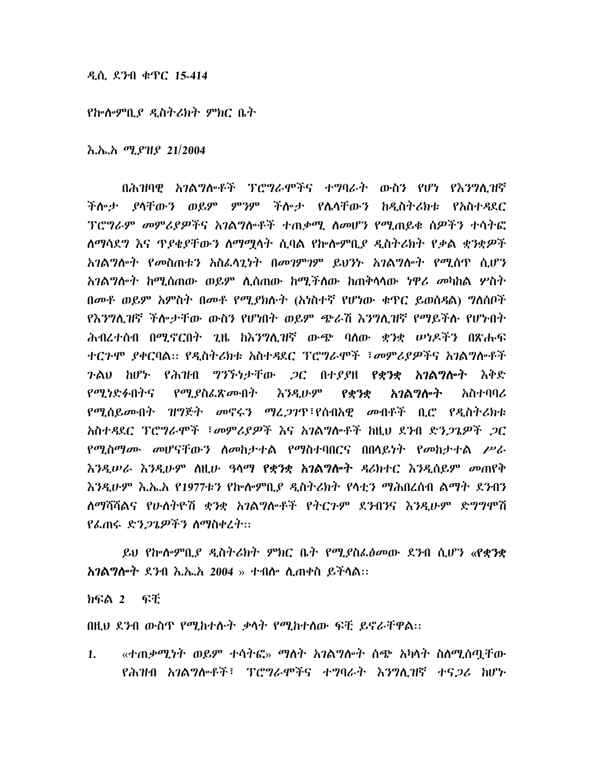## ዲሲ ደንብ ቁጥር 15-414

## የኰሎምቢያ ዲስትሪክት ምክር ቤት

<u>እ.ኤ.አ ሚያዝያ 21/2004</u>

በሕዝባዊ አገልግሎቶች ፐሮግራሞችና ተግባራት ውስን የሆነ የእንግሊዝኛ ችሎታ ያላቸውን ወይም ምንም ችሎታ የሴላቸውን ከዲስትሪክቱ የአስተዳደር ፕሮግራም መምሪያዎችና አገልግሎቶች ተጠቃሚ ስመሆን የሚጠይቁ ስዎችን ተሳትፎ <u>ስማሳደግ እና ጥያቄያቸውን ስማሟሳት ሲባል የኩሎምቢያ ዲስትሪክት የቃል ቋንቋዎች</u> አንልግሎት የመስጠቱን አስፈላጊነት በመንምንም ይህንኑ አንልግሎት የሚሰጥ ሲሆን *አገ*ልግሎት ከሚሰጠው ወይም ሲሰጠው ከሚችለው ከጠቅሳሳው ነዋ*ሪ መ*ካከል ሦስት በመቶ ወይም አምስት በመቶ የሚያክሉት (አነስተኛ የሆነው ቁጥር ይወስዳል) ግለሰቦች የእንግሊዝኛ ችሎታቸው ውስን የሆነበት ወይም ጭራሽ እንግሊዝኛ የማይችሉ የሆኑበት ሕብረተሰብ በሚኖርበት ጊዜ ከእንግሊዝኛ ውጭ ባለው ቋንቋ ሥነዶችን በጽሑፍ ተርጉሞ ያቀርባል። የዲስትሪክቱ አስተዳደር ፐሮግራሞች ፣መምሪያዎችና አገልግሎቶች ጉልህ ከሆኑ የሕዝብ ግንኙነታቸው *ጋ*ር በተደደዘ **የቋንቋ አገልግሎት** እቅድ *የሚነድፉ*በትና *የሚያ*ስፌጽ*ሙ*በት እንዲሁም አንልግሎት አስተባባሪ የቋንቋ የሚሰይሙበት ዝግጅት መኖሩን ማፈ*ጋገ*ጥ፣የሰብአዊ መብቶች ቢሮ የዲስትሪክቱ አስተዳደር ፕሮግራሞች ፣መምሪያዎች እና አገልግሎቶች ከዚህ ደንብ ድንጋጌዎች ጋር የሚስማሙ መሆናቸውን ስመከታተል የማስተባበርና በበላይነት የመከታተል ሥራ እንዲሠራ እንዲሁም ስዚሁ ዓላማ የቋንቋ አገልግሎት ዳሪክተር እንዲሰይም መጠየቅ እንዲሁም እ.ኤ.አ የ1977ቱን የኰሎምቢያ ዲስትሪክት የላቲን ማሕበረሰብ ልማት ደንብን ለማሻሻልና የሁለትዮሽ ቋንቋ አንልግሎቶች የትርጉም ደንብንና እንዲሁም ድግግሞሽ የፌጠሩ ድን*ጋጌዎችን ስማስቀረት*::

ይህ የኰሎምቢ*ያ ዲ*ስትሪክት ምክር ቤት የሚያስፌፅመው ደንብ ሲሆን «**የቋንቋ አገልግሎት** ደንብ እ.ኤ.አ 2004 » ተብሎ ሊጠቀስ ይችሳል።

ክፍል 2 ፍቸ

በዚህ ደንብ ውስጥ የሚከተሱት ቃሳት የሚከተሰው ፍቺ ይኖራቸዋል፡፡

«ተጠቃሚነት ወይም ተሳትፎ» ማስት አገልግሎት ሰጭ አካሳት ስስሚሰጧቸው  $1.$ የሕዝብ አንልግሎቶች፣ ፕሮግራሞችና ተግባራት እንግሊዝኛ ተና*ጋ*ሪ ከሆኑ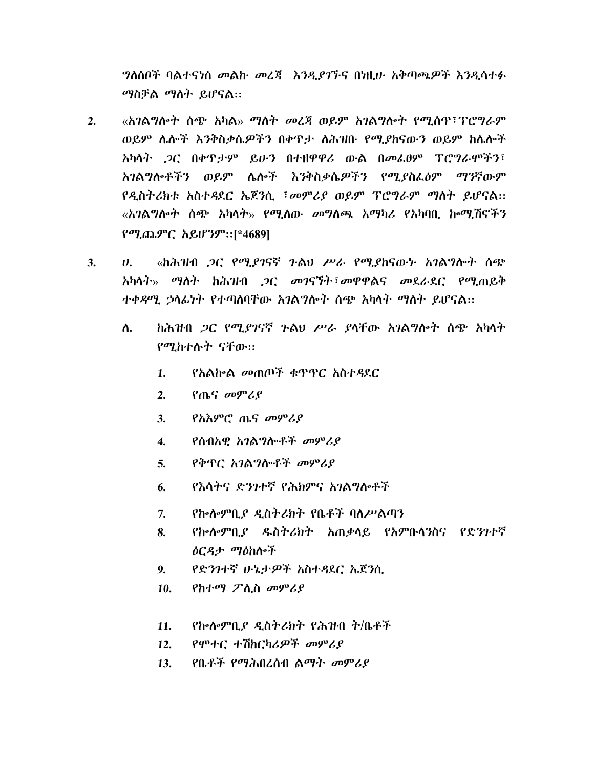*ግ*ለሰቦች ባልተናነሰ መልኩ መረጃ *እንዲያገኙ*ና በነዚሁ አቅጣጫዎች እንዲሳተፉ ማስቻል ማስት ይሆናል::

- «አገልግሎት ሰጭ አካል» ማለት መረጃ ወይም አገልግሎት የሚሰዋ፣ፕሮግራም  $2.$ ወይም ሌሎች እንቅስቃሴዎችን በቀጥታ ለሕዝቡ የሚያከናውን ወይም ከሴሎች አካላት *ጋ*ር በቀዋ*ታም ይ*ሁን በተዘዋዋሪ ውል በመፌፀም ፐሮግራሞችን፣ አገልግሎቶችን ወይም ሌሎች እንቅስቃሴዎችን የሚያስፌፅም ማንኛውም የዲስትሪክቱ አስተዳደር ኤጀንሲ ፤መምሪያ ወይም ፕሮግራም ማስት ይሆናል፡፡ «አገልግሎት ሰጭ አካላት» የሚለው መግለጫ አማካሪ የአካባቢ ኰሚሽኖችን የሚጨምር አይሆንም፡፡[\*4689]
- $3.$ «ከሕዝብ *ጋ*ር የሚያገናኛ ጉልህ ሥራ የሚያከናውኑ አ*ገ*ልግሎት ሰጭ  $\boldsymbol{\mathsf{U}}$ . አካሳት» ማሰት ከሕዝብ *ጋር መገ*ናኘት፣መዋዋልና መደራደር የሚጠይቅ ተቀዳሚ ኃላፊነት የተጣሰባቸው አገልግሎት ሰጭ አካላት ማስት ይሆናል፡፡
	- ከሕዝብ *ጋ*ር የሚ*ያገ*ናኛ *ጉ*ልህ ሥራ ያላቸው አገልግሎት ሰጭ አካላት ስ. የሚከተሉት ናቸው።
		- $1.$ *የአ*ልሎል መጠጦች ቁጥጥር አስተዳደር
		- $2.$ የጤና መምሪያ
		- $\mathbf{3}$ . የአእምሮ ጤና መምሪያ
		- የሰብአዊ አገልግሎቶች መምሪያ  $4.$
		- የቅጥር አገልግሎቶች መምሪያ  $5<sub>1</sub>$
		- የእሳትና ድንገተኛ የሕክምና አገልግሎቶች 6.
		- $7.$ የኰሎምቢያ ዲስትሪክት የቤቶች ባለሥልጣን
		- የኰሎምቢያ ዱስትሪክት አጠቃሳይ የአምቡሳንስና የድንገተኛ  $\mathbf{8}$ . ዕርዳታ ማዕከሎች
		- የድንገተኛ ሁኔታዎች አስተዳደር ኤጀንሲ  $9.$
		- የከተማ ፖሊስ መምሪያ 10.
		- የኰሎምቢያ ዲስትሪክት የሕዝብ ት/ቤቶች  $11.$
		- የሞተር ተሽከርካሪዎች መምሪያ  $12.$
		- የቤቶች የማሕበረሰብ ልማት መምሪያ  $13.$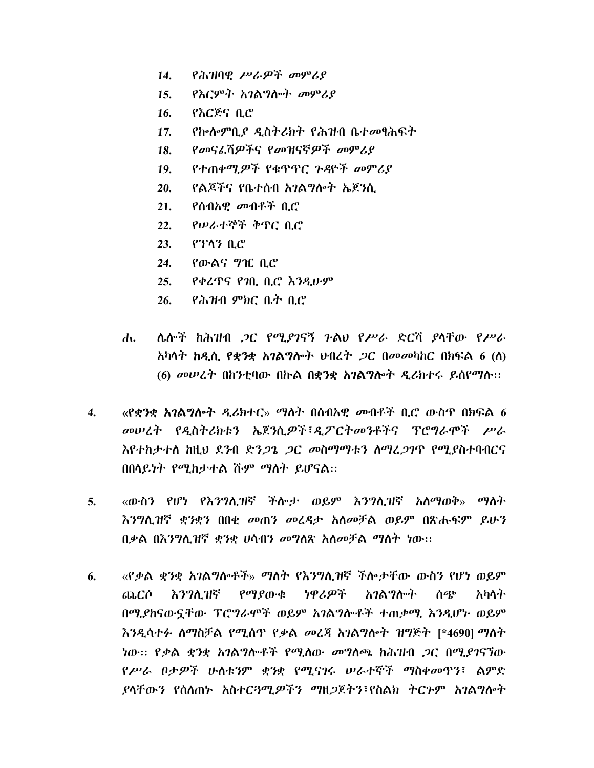- የሕዝባዊ ሥራዎች መምሪያ 14.
- የእርምት አገልግሎት መምሪያ  $15.$
- የእርጅና ቢሮ 16.
- የኰሎምቢያ ዲስትሪክት የሕዝብ ቤተመፃሕፍት  $17.$
- የመናፈሻዎችና የመዝናኛዎች መምሪያ 18.
- የተጠቀሚዎች የቁጥጥር ጉዳዮች መምሪያ  $19.$
- የልጆችና የቤተሰብ አንልግሎት ኤጀንሲ 20.
- <u>የሰብአዊ መብቶች ቢሮ</u>  $21.$
- የሠራተኞች ቅጥር ቢሮ  $22.$
- $23.$ የፕላን ቢሮ
- 24. <u>የውልና ግዢ ቢሮ</u>
- የቀረጥና የንቢ ቢሮ እንዲሁም  $25.$
- የሕዝብ ምክር ቤት ቢሮ  $26.$
- ሌሎች ከሕዝብ *ጋ*ር የሚያገናኝ ጉልህ የሥራ ድርሻ ያላቸው የሥራ ሐ. አካሳት **ከዲሲ የቋንቋ አገልግሎት** ህብረት *ጋ*ር በመመካከር በክፍል 6 (ስ) (6) መሠረት በከንቲባው በኩል በቋንቋ አገልግሎት ዲሪክተሩ ይሰየማሱ፡፡
- «የቋንቋ አንልግሎት ዳሪክተር» ማስት በሰብአዊ መብቶች ቢሮ ውስጥ በክፍል 6 4. መሠረት የዲስትሪክቱን ኤጀንሲዎች፣ዲፖርትመንቶችና ፕሮግራሞች ሥራ እየተከታተለ ከዚህ ደንብ ድን*ጋጌ ጋ*ር መስማማቱን ስማፈ*ጋገ*ጥ የሚያስተባብርና በበላይነት የሚከታተል ሹም ማስት ይሆናል።
- 5. «ውስን የሆነ የእንግሊዝኛ ችሎታ ወይም እንግሊዝኛ አለማወቅ» ማለት እንግሊዝኛ ቋንቋን በበቂ መጠን መረዳታ አለመቻል ወይም በጽሑፍም ይሁን በቃል በእንግሊዝኛ ቋንቋ ሀሳብን መግለጽ አለመቻል ማለት ነው፡፡
- «የቃል ቋንቋ አገልግሎቶች» ማስት የእንግሊዝኛ ችሎታቸው ውስን የሆነ ወይም 6. እንግሊዝኛ የማያውቁ ነዋሪዎች አንልግሎት ሰጭ ጨርሶ አካሳት በሚያከናውኗቸው ፕሮግራሞች ወይም አገልግሎቶች ተጠቃሚ እንዲሆኑ ወይም እንዲሳተፉ ስማስቻል የሚሰጥ የቃል መረጃ አገልግሎት ዝግጅት [\*4690] ማስት <u>ነው፡፡ የቃል ቋንቋ አገልግሎቶች የሚለው መግለጫ ከሕዝብ *ጋ*ር በሚ*ያገ*ናኘው</u> የሥራ በታዎች ሁስቱንም ቋንቋ የሚናገሩ ሠራተኞች ማስቀመጥን፣ ልምድ ያሳቸውን የሰለጠኑ አስተር*ጓሚዎችን ማ*ዘ*ጋ*ጀትን፣የስልክ ትርጉም አ*ገ*ልግሎት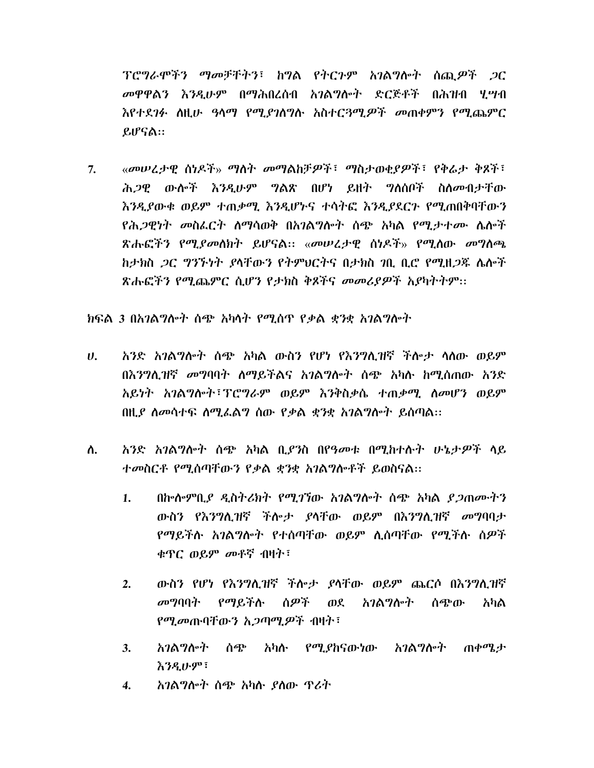ፕሮግራሞችን ማመቻቸትን፣ ከግል የትርጉም አገልግሎት ሰጪ*ዎች ጋ*ር መዋዋልን እንዲሁም በማሕበረሰብ አንልግሎት ድርጅቶች በሕዝብ ሂሣብ እየተደገፉ ስዚሁ ዓላማ የሚያገስግሱ አስተርጓሚዎች መጠቀምን የሚጨምር ይሆናል።

 $7.$ «መሠረታዊ ስነዶች» ማስት መማልክቻዎች፣ ማስታወቂያዎች፣ የቅሬታ ቅጾች፣ ሕ*ጋዊ* ውሎች *እንዲ*ሁም **ግልጽ በሆነ ይዘት ግለሰቦች ስለ**መብታቸው እንዲያውቁ ወይም ተጠቃሚ እንዲሆኑና ተሳትፎ እንዲያደርጉ የሚጠበቅባቸውን *የሕጋዊነት መስፌርት ስማ*ሳወቅ በ*አገ*ልግሎት ሰጭ አካል የሚታተሙ ሴሎች ጽሑፎችን የሚ*ያመ*ለክት ይሆናል። «መሠረታዊ ሰነዶች» የሚለው መግለጫ ክታክስ *ጋ*ር *ግንኙነት ያ*ላቸው*ን* የትምህርትና በታክስ *ነ*ቢ ቢሮ የሚዘ*ጋ*ጁ ሌሎች ጽሑፎችን የሚጨምር ሲሆን የታክስ ቅጾችና መመሪያዎች አያካትትም፡፡

ክፍል 3 በአገልግሎት ሰጭ አካላት የሚሰጥ የቃል ቋንቋ አገልግሎት

- $\boldsymbol{U}$ . አንድ አገልግሎት ሰጭ አካል ውስን የሆነ የእንግሊዝኛ ችሎታ ሳለው ወይም በእንግሊዝኛ መግባባት ስማይችልና አገልግሎት ስጭ አካሉ ከሚሰጠው አንድ አይነት አገልግሎት፣ፐሮግራም ወይም እንቅስቃሴ ተጠቃሚ ለመሆን ወይም በዚያ ስመሳተፍ ስሚፌልግ ስው የቃል ቋንቋ አንልግሎት ይሰጣል።
- አንድ አገልግሎት ሰጭ አካል ቢያንስ በየዓመቱ በሚከተሱት ሁኔታዎች ላይ ለ. ተመስርቶ የሚሰጣቸውን የቃል ቋንቋ አገልግሎቶች ይወስናል፡፡
	- በኰሎምቢ*ያ ዲ*ስትሪክት የሚ*ገ*ኘው አ*ገ*ልግሎት ሰጭ አካል *ያ ጋ*ጠሙትን  $1.$ ውስን የእንግሊዝኛ ችሎታ ያላቸው ወይም በእንግሊዝኛ መግባባታ የማይችሉ አገልግሎት የተሰጣቸው ወይም ሊሰጣቸው የሚችሉ ሰዎች ቁጥር ወይም መቶኛ ብዛት፣
	- ውስን የሆነ የእንግሊዝኛ ችሎታ ያላቸው ወይም ጨርሶ በእንግሊዝኛ  $2.$ መግባባት የማይችሉ ሰዎች ወደ አንልግሎት ሰጭው አካል *የሚመ*ጡባቸውን አ*ጋ*ጣሚ*ዎ*ች ብዛት፣
	- *አገ*ልግሎት ሰጭ አካሉ የሚ*ያ*ከናውነው አገልግሎት ጠቀሜታ  $\mathbf{3}$ . እ*ንዲሁም*፣
	- አገልግሎት ሰጭ አካሱ ያለው ጥሪት 4.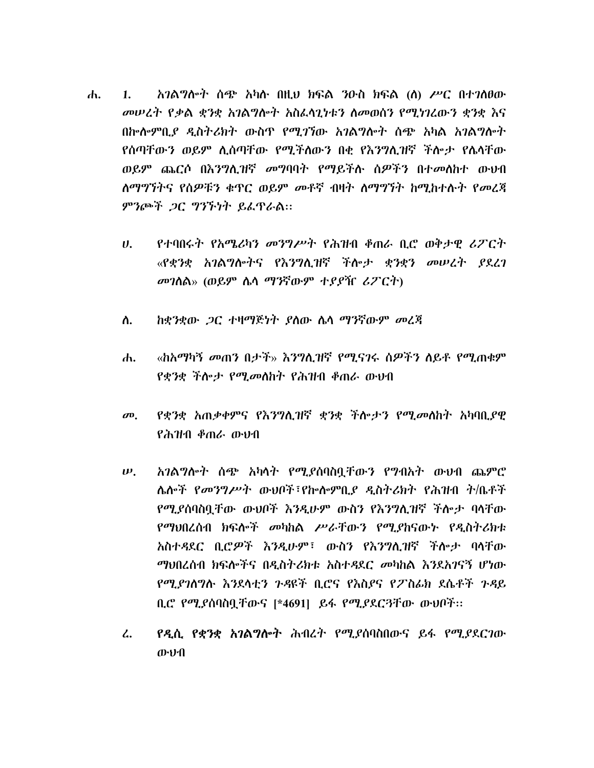- አንልግሎት ሰጭ አካሉ በዚህ ክፍል ንዑስ ክፍል (ለ) ሥር በተንለፀው  $\mathbf{d}$  $\mathbf{1}$ . መሠረት የቃል ቋንቋ አገልግሎት አስፌሳጊነቱን ስመወሰን የሚነገረውን ቋንቋ እና በኩሎምቢያ ዲስትሪክት ውስጥ የሚገኘው አገልግሎት ሰጭ አካል አገልግሎት የሰጣቸውን ወይም ሊሰጣቸው የሚችለውን በቂ የእንግሊዝኛ ችሎታ የሌላቸው ወይም ጨርሶ በእንግሊዝኛ መግባባት የማይችሉ ስዎችን በተመለከተ ውህብ ለማግኘትና የሰዎቹን ቁጥር ወይም መቶኛ ብዛት ለማግኘት ከሚከተሱት የመረጃ ምንጮች ጋር ግንኙነት ይፌዋራል።
	- $U_{\rm h}$ የተባበሩት የአሜሪካን መንግሥት የሕዝብ ቆጠራ ቢሮ ወቅታዊ ሪፖርት «የቋንቋ አገልግሎትና የእንግሊዝኛ ችሎታ ቋንቋን መሠረት *ያ*ደረገ መገለል» (ወይም ሌላ ማንኛውም ተያያዥ ሪፖርት)
	- ከቋንቋው *ጋ*ር ተዛማጅነት ያስው ሴሳ ማንኛውም መረጃ ስ.
	- «ከአማካኝ መጠን በታች» እንግሊዝኛ የሚናገሩ ሰዎችን ለይቶ የሚጠቁም ሐ. የቋንቋ ችሎ*ታ የሚመ*ልክት የሕዝብ ቆጠራ ውህብ
	- *የቋንቋ አ*ጠ*ቃቀምና የእንግ*ሲዝኛ *ቋንቋ ች*ሎታ*ን የሚመ*ለከት አካባቢያዊ  $\boldsymbol{\sigma}$ <sup> $\boldsymbol{\sigma}$ </sup> የሕዝብ ቆጠራ ውህብ
	- አገልግሎት ሰጭ አካላት የሚያሰባስቧቸውን የግብአት ውህብ ጨምሮ  $\boldsymbol{\psi}$ . ሌሎች *የመንግሥት* ውህቦች፣የኰሎምቢ*ያ ዲ*ስትሪክት የሕዝብ ት/ቤቶች የሚያሰባስቧቸው ውህቦች እንዲሁም ውስን የእንግሊዝኛ ችሎታ ባላቸው የማህበረሰብ ክፍሎች መካከል ሥራቸውን የሚያከናውኑ የዲስትሪክቱ አስተዳደር ቢሮዎች እንዲሁም፣ ውስን የእንግሊዝኛ ችሎታ ባላቸው *ማ*ህበረሰብ ክፍሎችና በዲስትሪክቱ አስተዳደር *መ*ካከል እንደአገናኝ ሆነው የማያገለግሉ እንደሳቲን ጉዳዩች ቢሮና የእስያና የፖስፊክ ደሴቶች ጉዳይ ቢሮ የሚያሰባስቧቸውና [\*4691] ይፋ የሚያደርጓቸው ውህቦች::
	- የዲሲ የቋንቋ አገልግሎት ሕብረት የሚያስባስበውና ይፋ የሚያደርገው  $\mathcal{L}$ . ውህብ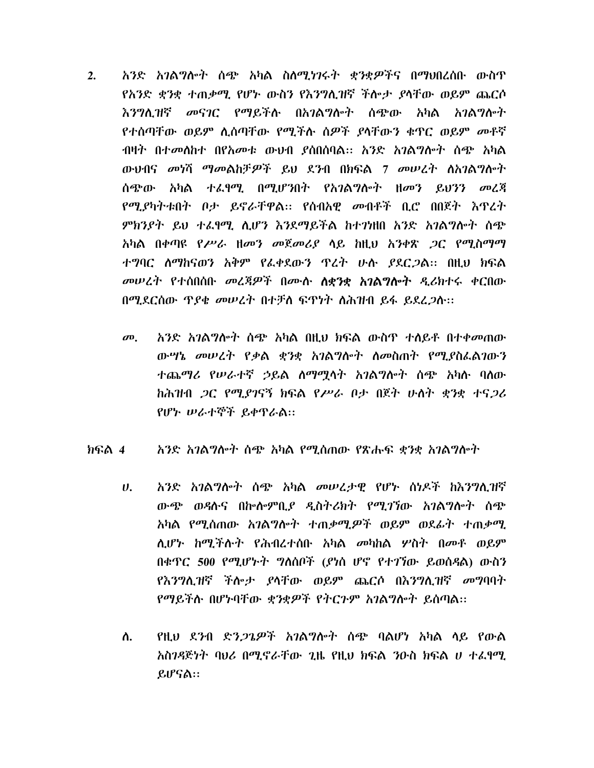- አንድ አንልግሎት ሰጭ አካል ስለሚነንሩት ቋንቋዎችና በማህበረሰቡ ውስጥ  $2.$ የአንድ ቋንቋ ተጠቃሚ የሆኑ ውስን የእንግሊዝኛ ችሎታ ያላቸው ወይም ጨርሶ እንግሊዝኛ መናገር የማይችሉ በአገልግሎት ሰጭው አካል አገልግሎት የተሰጣቸው ወይም ሊሰጣቸው የሚችሉ ሰዎች ያላቸውን ቁዋር ወይም መቶኛ ብዛት በተመሰከተ በየአመቱ ውህብ ያሰበሰባል፡፡ አንድ አንልግሎት ስጭ አካል ውህብና መነሻ ማመልከቻዎች ይህ ደንብ በክፍል 7 መሠረት ስአገልግሎት ሰጭው አካል ተፈፃሚ በሚሆንበት የአገልግሎት ዘመን ይህንን መረጃ የሚያካትቱበት ቦታ ይኖራቸዋል። የሰብአዊ መብቶች ቢሮ በበጀት እጥረት ምክንያት ይህ ተፈፃማ. ሲሆን እንደማይችል ከተንነዘበ አንድ አንልግሎት ሰጭ አካል በቀጣዩ *የሥራ ዘመን መጀመሪያ* ላይ ከዚህ አ*ንቀጽ ጋ*ር የሚስማማ ተግባር ለማከናወን አቅም የፌቀደውን ዋረት ሁሉ ያደርጋል፡፡ በዚህ ክፍል መሠረት የተሰበሰቡ መረጃዎች በሙሉ ለቋንቋ አንልግሎት ዲሪክተሩ ቀርበው በሚደርሰው ዋያቄ መሠረት በተቻለ ፍዋነት ለሕዝብ ይፋ ይደረ*ጋ*ሱ፡፡
	- አንድ አገልግሎት ሰጭ አካል በዚህ ክፍል ውስጥ ተለይቶ በተቀመጠው  $\boldsymbol{\sigma}$ <sup> $\boldsymbol{\sigma}$ </sup> ውሣኔ መሠረት የቃል ቋንቋ አገልግሎት ስመስጠት የሚያስፌልገውን ተጨማሪ የሠራተኛ ኃይል ስማማሳት አገልግሎት ሰጭ አካሱ ባሰው ከሕዝብ *ጋ*ር የሚያገናኝ ክፍል የሥራ ቦታ በጀት ሁለት ቋንቋ ተና*ጋ*ሪ የሆኑ ሠራተኞች ይቀዋራል።
- ክፍል 4 አንድ አንልግሎት ሰጭ አካል የሚሰጠው የጽሑፍ ቋንቋ አንልግሎት
	- አንድ አገልግሎት ሰጭ አካል መሠረታዊ የሆኑ ሰነዶች ከእንግሊዝኛ  $\boldsymbol{\theta}$ . ውጭ ወዳሱና በኩሎምቢያ ዲስትሪክት የሚገኘው አገልግሎት ሰጭ አካል የሚሰጠው አገልግሎት ተጠቃሚዎች ወይም ወደፊት ተጠቃሚ ሊሆኑ ከሚችሱት የሕብረተሰቡ አካል *መ*ካከል ሦስት በመቶ ወይም በቁዋር 500 የሚሆኑት ግለሰቦች (ያነሰ ሆኖ የተገኘው ይወስዳል) ውስን የእንግሊዝኛ ችሎታ ያላቸው ወይም ጨርሶ በእንግሊዝኛ መግባባት የማይችሉ በሆኑባቸው ቋንቋዎች የትርጉም አገልግሎት ይሰጣል፡፡
	- ለ. የዚህ ደንብ ድን*ጋጌዎች አገ*ልግሎት ስጭ ባልሆነ አካል ላይ የውል አስንዳጅነት ባህሪ በሚኖራቸው ጊዜ የዚህ ክፍል 3ዑስ ክፍል ሀ ተፈፃሚ ይሆናል።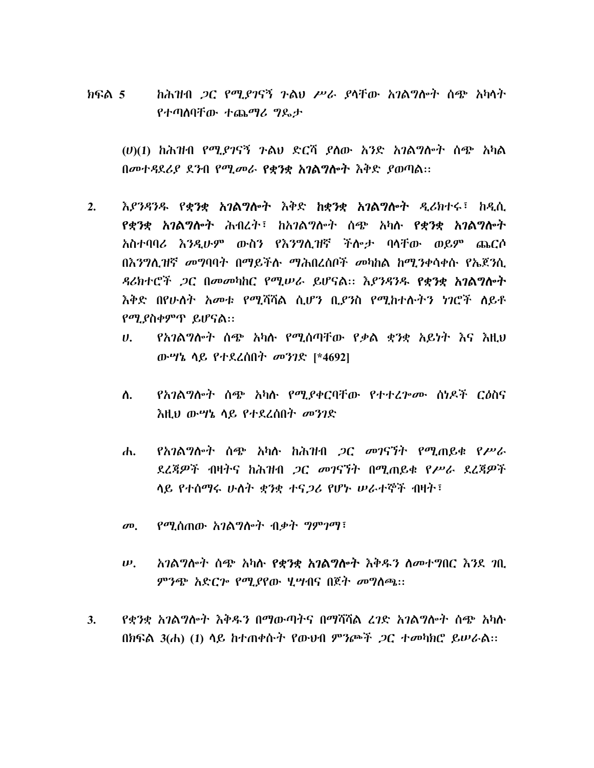ከሕዝብ *ጋ*ር የሚ*ያገ*ናኝ ጉልህ ሥራ ያላቸው አገልግሎት ሰጭ አካላት ክፍል 5 የተጣሰባቸው ተጨማሪ ግዴታ

 $(U)(1)$  ከሕዝብ የሚያገናኝ ጉልህ ድርሻ ያለው አንድ አገልግሎት ሰጭ አካል በመተዳደሪያ ደንብ የሚመራ የቋንቋ አገልግሎት እቅድ ያወጣል።

- እያንዳንዱ የ**ቋንቋ አገልግሎት** እቅድ **ከቋንቋ አገልግሎት** ዲሪክተሩ፣ ከዲሲ  $2.$ የቋንቋ አገልግሎት ሕብረት፣ ከአገልግሎት ሰጭ አካሉ የቋንቋ አገልግሎት አስተባባሪ እንዲሁም ውስን የእንግሊዝኛ ችሎታ ባላቸው ወይም ጨርሶ በእንግሊዝኛ መግባባት በማይችሉ ማሕበረሰቦች መካከል ከሚንቀሳቀሱ የኤጀንሲ ዳሪክተሮች ጋር በመመካከር የሚሠራ ይሆናል። እያንዳንዱ የቋንቋ አገልግሎት እቅድ በየሁለት አመቱ የሚሻሻል ሲሆን ቢያንስ የሚከተሱትን ነገሮች ሰይቶ የሚያስቀምጥ ይሆናል።
	- የአገልግሎት ሰጭ አካሉ የሚሰጣቸው የቃል ቋንቋ አይነት እና እዚህ  $U_{\rm{t}}$ ውሣኔ ሳይ የተደረሰበት መንገድ [\*4692]
	- ለ. *የአገ*ልግሎት ሰጭ አካሉ የሚያቀርባቸው የተተረ*ኮሙ* ሰነዶች ር*ዕ*ስና እዚህ ውሣኔ ሳይ የተደረሰበት መንገድ
	- <u>የአገልግሎት ሰጭ አካሉ ከሕዝብ *ጋ*ር መገናኘት የሚጠይቁ የሥራ</u>  $\mathbf{d}$ ደረጃዎች ብዛትና ከሕዝብ *ጋ*ር መገናኘት በሚጠይቁ የሥራ ደረጃዎች ላይ የተሰማሩ ሁለት ቋንቋ ተና*ጋ*ሪ የሆኑ ሠራተኞች ብዛት፣
	- መ. የሚሰጠው አገልግሎት ብቃት ግምገማ፣
	- አገልግሎት ሰጭ አካሉ የቋንቋ አገልግሎት እቅዱን ለመተግበር እንደ ገቢ  $\boldsymbol{\psi}$ . ምንጭ አድር*ጕ የሚያ*የው ሂሣብና በጀት መግለጫ፡፡
- የቋንቋ አንልግሎት እቅዱን በማውጣትና በማሻሻል ረንድ አንልግሎት ሰጭ አካሱ  $3.$ በክፍል 3(ሐ) (1) ላይ ከተጠቀሱት የውህብ ምንጮች *ጋ*ር ተመካክሮ ይሠራል፡፡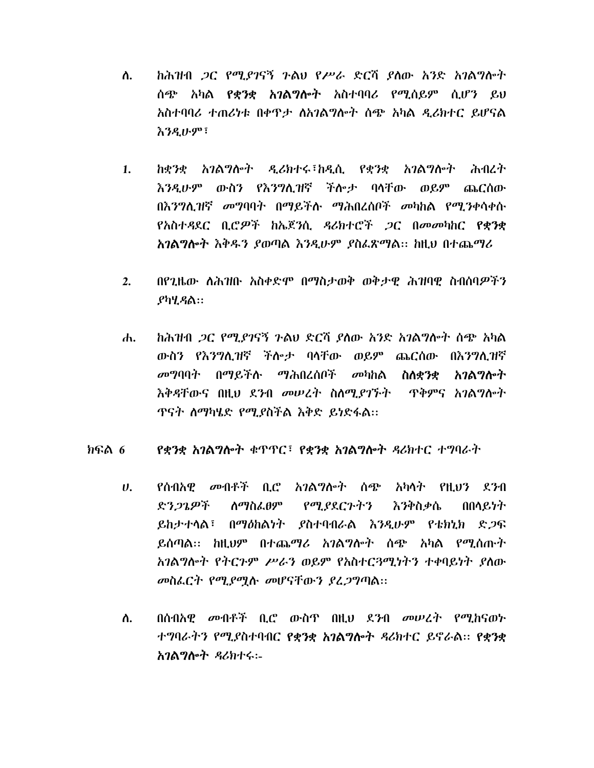- ከሕዝብ *ጋ*ር የሚያገናኝ ጉልህ የሥራ ድርሻ ያለው አንድ አገልግሎት ለ. ሰጭ አካል **የቋንቋ አንልግሎት** አስተባባሪ የሚሰይም ሲሆን ይህ አስተባባሪ ተጠሪነቱ በቀዋታ ለአገልግሎት ሰጭ አካል ዲሪክተር ይሆናል <u>እንዲሁም፣</u>
- ከቋንቋ አገልግሎት ዲሪክተሩ፣ከዲሲ የቋንቋ አገልግሎት ሕብረት  $1.$ እንዲሁም ውስን የእንግሊዝኛ ችሎታ ባላቸው ወይም ጨርሰው በእንግሊዝኛ መግባባት በማይችሉ ማሕበረሰቦች መካከል የሚንቀሳቀሱ የአስተዳደር ቢሮዎች ከኤጀንሲ ዳሪክተሮች *ጋ*ር በመመካከር **የቋንቋ** አንልግሎት እቅዱን ያወጣል እንዲሁም ያስፌጽማል፡፡ ከዚህ በተጨማሪ
- በየጊዜው ስሕዝቡ አስቀድሞ በማስታወቅ ወቅታዊ ሕዝባዊ ስብሰባዎችን  $2.$  $P$ ካሂ $R$ ል::
- ከሕዝብ *ጋ*ር የሚያገናኝ ጉልህ ድርሻ ያለው አንድ አገልግሎት ሰጭ አካል  $\mathbf{d}$ ውስን የእንግሊዝኛ ችሎታ ባላቸው ወይም ጨርሰው በእንግሊዝኛ *መግ*ባባት በማይችሉ ማሕበረሰቦች መካከ**ል ስለቋንቋ** አንልማሎት እቅዳቸውና በዚህ ደንብ መሠረት ስለሚያገኙት ጥቅምና አገልግሎት ጥናት ስማካሄድ የሚያስችል እቅድ ይነድፋል።

## የቋንቋ አገልግሎት ቁጥጥር፣ የቋንቋ አገልግሎት ዳሪክተር ተግባራት ክፍል 6

- $\boldsymbol{\mathsf{U}}$ . የሰብአዊ *መ*ብቶች ቢሮ *አገ*ልግሎት ሰጭ አካሳት የዚህን ደንብ ድን*ጋጌዎች* <u>ለማስፌፀም የሚያደርጉትን</u> እንቅስቃሴ በበላ $e, b$ ት ይከታተላል፣ በማዕከልነት ያስተባብራል እንዲሁም የቴክኒክ ድ*ጋ*ፍ ይሰጣል፡፡ ከዚህም በተጨ*ማሪ* አ*ገ*ልግሎት ሰጭ አካል የሚሰጡት አገልግሎት የትርጉም ሥራን ወይም የአስተርጓሚነትን ተቀባይነት ያስው መስፌርት የሚያሚሉ መሆናቸውን ያፈጋግጣል፡፡
- ስ. በሰብአዊ መብቶች ቢሮ ውስጥ በዚህ ደንብ መሠረት የሚከናወኑ ተግባራትን የሚያስተባብር የቋንቋ አገልግሎት ዳሪክተር ይኖራል። የቋንቋ አገልግሎት ዳሪክተሩ:-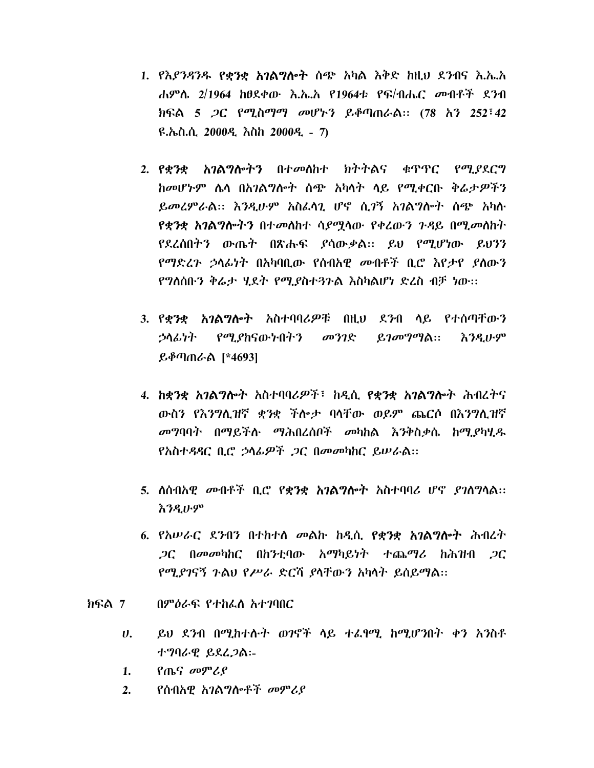- 1. የእ*ያንዳንዱ የቋንቋ አገ*ልግሎት ሰጭ አካል እቅድ ከዚህ ደ*ን*ብና እ.ኤ.አ ሐምሌ 2/1964 ከፀደቀው እ.ኤ.አ የ1964ቱ የፍ/ብሔር መብቶች ደንብ ክፍል 5 *ጋ*ር የሚስማማ መሆኑን ይቆጣጠራል:: (78 አን 252<sup>;</sup>42 ዩ.ኤስ.ሲ. 2000ዲ እስከ 2000ዲ - 7)
- 2. የቋንቋ አገልግሎትን በተመለከተ ክትትልና ቁጥጥር የማያደርግ ከመሆኑም ሴሳ በአገልግሎት ሰጭ አካሳት ሳይ የሚቀርቡ ቅሬታዎችን ይመረምራል:: እንዲሁም አስፈላጊ ሆኖ ሲ*ገ*ኝ አገልግሎት ሰጭ አካሉ የቋንቋ አ**ገልግሎትን** በተመለከተ ሳ*ያሚ*ላው የቀረውን ንዳይ በሚመለከት የደረሰበትን ውጤት በጽሑፍ ያሳውቃል። ይህ የሚሆነው ይህንን የማድረን ኃላፊነት በአካባቢው የሰብአዊ መብቶች ቢሮ እየታየ ያስውን የግለሰቡን ቅሬታ ሂደት የሚያስተጓጉል እስካልሆነ ድረስ ብቻ ነው፡፡
- 3. የ**ቋንቋ አንልግሎት** አስተባባሪ*ዎ*ቹ በዚህ ደንብ ላይ የተሰጣቸውን ኃላፊነት የሚያከናውኑበትን መንገድ ይ*ገ*መግማል:: *እንዲ*ሁም ይቆጣጠራል [\*4693]
- 4. ከቋንቋ አገልግሎት አስተባባሪዎች፣ ከዲሲ የቋንቋ አገልግሎት ሕብረትና ውስን የእንግሊዝኛ ቋንቋ ችሎታ ባላቸው ወይም ጨርሶ በእንግሊዝኛ መግባባት በማይችሉ ማሕበረሰቦች መካከል እንቅስቃሴ ከሚያካሂዱ የአስተዳዳር ቢሮ ኃላፊዎች ጋር በመመካከር ይሠራል::
- 5. ለሰብአዊ *መ*ብቶች ቢሮ የ**ቋንቋ አገልግሎት** አስተባባሪ ሆኖ *ያገ*ለግላል:: **እንዲሁም**
- 6. የአሥራር ደንብን በተከተሰ መልኩ ከዲሲ የቋንቋ አገልግሎት ሕብረት  $\mathcal{P}$ ር በመመካከር በከንቲባው አማካይነት ተጨማሪ ከሕዝብ  $\mathcal{P}$ ር የሚያገናኝ ጉልህ የሥራ ድርሻ ያሳቸውን አካሳት ይሰይማል፡፡
- ክፍል 7 በምዕራፍ የተከፌስ አተገባበር
	- ይህ ደንብ በሚከተሱት ወገኖች ላይ ተፌፃሚ ከሚሆንበት ቀን አንስቶ  $\boldsymbol{\theta}$ . ተግባራዊ ይደረ*ጋ*ል:-
	- የጤና መምሪያ  $1.$
	- የሰብአዋ አገልግሎቶች መምሪያ  $2.$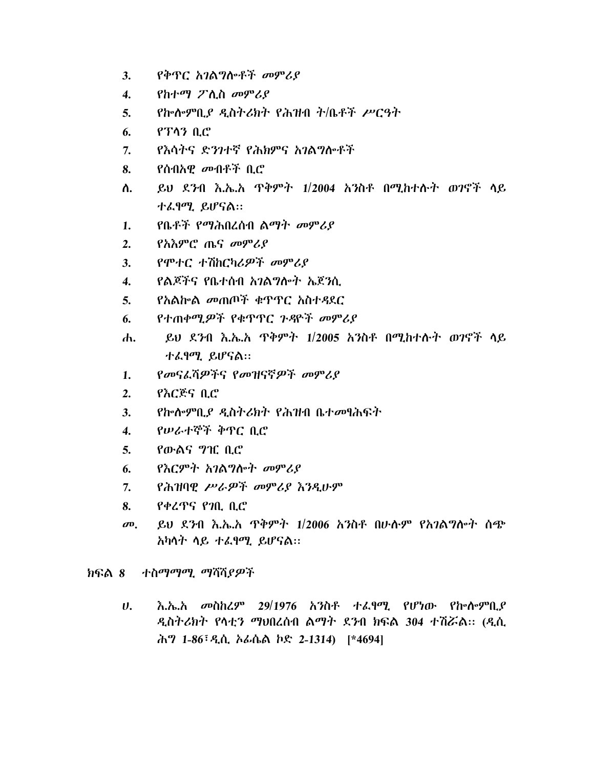- 3. የቅጥር *አገ*ልግሎቶች መምሪያ
- 4. የከተማ ፖሊስ መም*ሪ*ያ
- 5. Phene PLP Latesht Path that  $\ddot{r}$  /  $\ddot{q}$  /  $\ddot{q}$
- $6.$   $9.73 \text{ } 0.0$
- 7. የእሳትና ድንገተኛ የሕክምና አገልግሎቶች
- 8. የሰብአዊ *መ*ብቶች ቢሮ
- ለ. ይህ ደንብ እ.ኤ.አ ጥቅምት 1/2004 አንስቶ በሚከተሱት ወገኖች ላይ ተፈፃሚ ይሆናል።
- 1. የቤቶች የማሕበረሰብ ልማት መምሪያ
- 2. የአእምሮ ጤና መምሪያ
- $3.$   $99 + C + 7$   $hC$   $h$   $\angle Q$   $\rightarrow$   $99$   $\angle Q$
- 4. የልጆችና የቤተሰብ አንልግሎት ኤጀንሲ
- 5. የአልኰል መጠጦች ቁጥጥር አስተዳደር
- 6. የተጠቀሚ*ዎ*ች የቁጥጥር ጉዳዮች መምሪያ
- ሐ. ይህ ደንብ እ.ኤ.አ ጥቅምት 1/2005 አንስቶ በሚከተሱት ወገኖች ላይ ተፈፃሚ ይሆናል::
- 1. የመናፈሻዎችና የመዝናኛዎች መምሪያ
- 2.  $P\lambda$  $C$  $\mathcal{E}$  $S$   $\mathcal{L}$
- $3.$  የኰሎምቢያ ዲስትሪክት የሕዝብ ቤተመፃሕፍት
- 4. የሠራተኞች ቅጥር ቢሮ
- 5. የውልና *ግ*ዢ ቢሮ
- $6.$  የእርምት አገልግሎት መምሪያ
- $7.$  የሕዝባዊ ሥራዎች መምሪያ እንዲሁም
- $8.$   $84295.90.00$
- መ. ዩ ይህ ደንብ እ.ኤ.አ ዋቅምት 1/2006 አንስቶ በሁሱም የአገልግሎት ሰጭ  $\lambda$ ካሳት ሳይ ተፈፃማ. ይሆናል::

ክፍል 8 ተስማማሚ ማሻሻ*ያዎች* 

 $U$ . አ.ኤ.አ መስከረም 29/1976 አንስቶ ተፈፃሚ የሆነው የኩሎምቢያ ዲስትሪክት የሳቲን ማህበረሰብ ልማት ደንብ ክፍል 304 ተሽሯል። (ዲሲ ሕግ 1-86<sup>;</sup> ዲሲ ኦፊሴል ኮድ 2-1314) [\*4694]